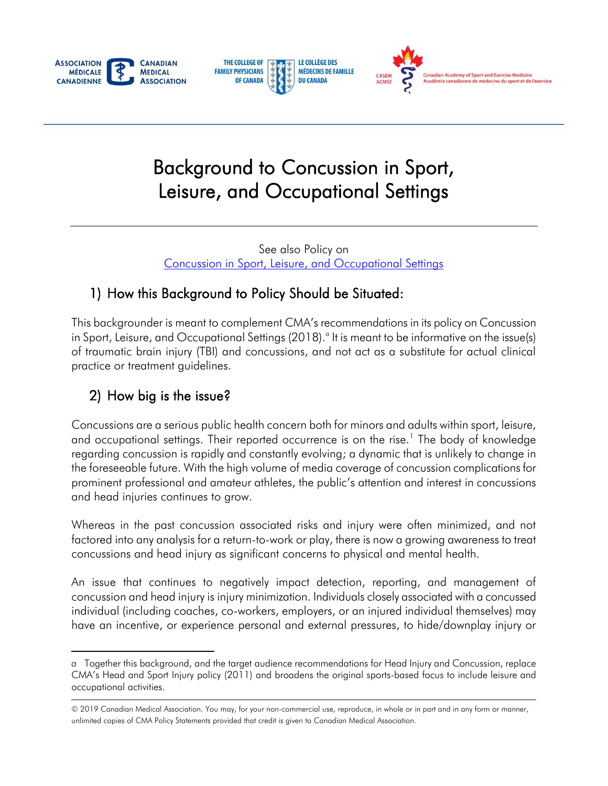





# Background to Concussion in Sport, Leisure, and Occupational Settings

See also Policy on [Concussion in Sport, Leisure, and Occupational Settings](https://policybase.cma.ca/en/permalink/policy14023) 

### 1) How this Background to Policy Should be Situated:

 This backgrounder is meant to complement CMA's recommendations in its policy on Concussion in Sport, Leisure, and Occupational Settings (2018). $^{\circ}$  It is meant to be informative on the issue(s) of traumatic brain injury (TBI) and concussions, and not act as a substitute for actual clinical practice or treatment guidelines.

## 2) How big is the issue?

 Concussions are a serious public health concern both for minors and adults within sport, leisure, regarding concussion is rapidly and constantly evolving; a dynamic that is unlikely to change in the foreseeable future. With the high volume of media coverage of concussion complications for prominent professional and amateur athletes, the public's attention and interest in concussions and occupational settings. Their reported occurrence is on the rise.<sup>1</sup> The body of knowledge and head injuries continues to grow.

 factored into any analysis for a return-to-work or play, there is now a growing awareness to treat Whereas in the past concussion associated risks and injury were often minimized, and not concussions and head injury as significant concerns to physical and mental health.

 concussion and head injury is injury minimization. Individuals closely associated with a concussed have an incentive, or experience personal and external pressures, to hide/downplay injury or An issue that continues to negatively impact detection, reporting, and management of individual (including coaches, co-workers, employers, or an injured individual themselves) may

 $\overline{a}$  CMA's Head and Sport Injury policy (2011) and broadens the original sports-based focus to include leisure and *a* Together this background, and the target audience recommendations for Head Injury and Concussion, replace occupational activities.

<sup>© 2019</sup> Canadian Medical Association. You may, for your non-commercial use, reproduce, in whole or in part and in any form or manner, unlimited copies of CMA Policy Statements provided that credit is given to Canadian Medical Association.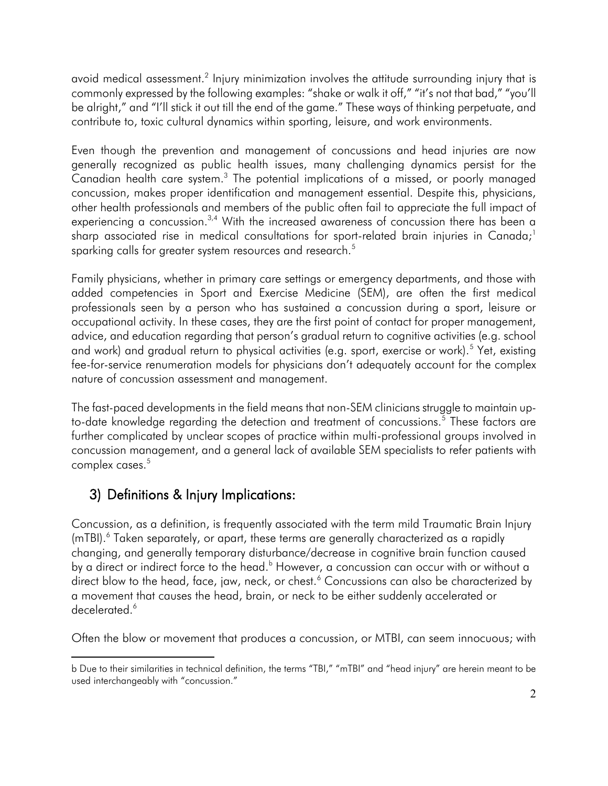avoid medical assessment. $^2$  Injury minimization involves the attitude surrounding injury that is commonly expressed by the following examples: "shake or walk it off," "it's not that bad," "you'll be alright," and "I'll stick it out till the end of the game." These ways of thinking perpetuate, and contribute to, toxic cultural dynamics within sporting, leisure, and work environments.

Canadian health care system.<sup>3</sup> The potential implications of a missed, or poorly managed other health professionals and members of the public often fail to appreciate the full impact of Even though the prevention and management of concussions and head injuries are now generally recognized as public health issues, many challenging dynamics persist for the concussion, makes proper identification and management essential. Despite this, physicians, experiencing a concussion.<sup>3,4</sup> With the increased awareness of concussion there has been a sharp associated rise in medical consultations for sport-related brain injuries in Canada;<sup>1</sup> sparking calls for greater system resources and research.<sup>5</sup>

 added competencies in Sport and Exercise Medicine (SEM), are often the first medical professionals seen by a person who has sustained a concussion during a sport, leisure or advice, and education regarding that person's gradual return to cognitive activities (e.g. school and work) and gradual return to physical activities (e.g. sport, exercise or work).<sup>5</sup> Yet, existing fee-for-service renumeration models for physicians don't adequately account for the complex Family physicians, whether in primary care settings or emergency departments, and those with occupational activity. In these cases, they are the first point of contact for proper management, nature of concussion assessment and management.

 The fast-paced developments in the field means that non-SEM clinicians struggle to maintain upto-date knowledge regarding the detection and treatment of concussions. $^5$  These factors are further complicated by unclear scopes of practice within multi-professional groups involved in concussion management, and a general lack of available SEM specialists to refer patients with complex cases.<sup>5</sup>

### 3) Definitions & Injury Implications:

Concussion, as a definition, is frequently associated with the term mild Traumatic Brain Injury (mTBI).<sup>6</sup> Taken separately, or apart, these terms are generally characterized as a rapidly changing, and generally temporary disturbance/decrease in cognitive brain function caused by a direct or indirect force to the head.<sup>b</sup> However, a concussion can occur with or without a direct blow to the head, face, jaw, neck, or chest.<sup>6</sup> Concussions can also be characterized by a movement that causes the head, brain, or neck to be either suddenly accelerated or decelerated.<sup>6</sup>

Often the blow or movement that produces a concussion, or MTBI, can seem innocuous; with

 $\overline{a}$ b Due to their similarities in technical definition, the terms "TBI," "mTBI" and "head injury" are herein meant to be used interchangeably with "concussion."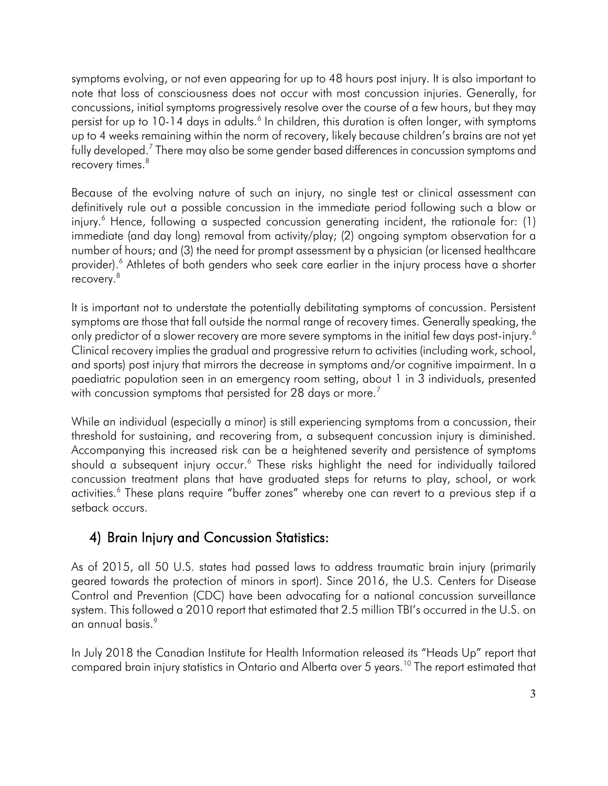symptoms evolving, or not even appearing for up to 48 hours post injury. It is also important to concussions, initial symptoms progressively resolve over the course of a few hours, but they may up to 4 weeks remaining within the norm of recovery, likely because children's brains are not yet fully developed.<sup>7</sup> There may also be some gender based differences in concussion symptoms and recovery times. $^8\,$ note that loss of consciousness does not occur with most concussion injuries. Generally, for persist for up to 10-14 days in adults.<sup>6</sup> In children, this duration is often longer, with symptoms

 definitively rule out a possible concussion in the immediate period following such a blow or immediate (and day long) removal from activity/play; (2) ongoing symptom observation for a provider).<sup>6</sup> Athletes of both genders who seek care earlier in the injury process have a shorter Because of the evolving nature of such an injury, no single test or clinical assessment can injury.<sup>6</sup> Hence, following a suspected concussion generating incident, the rationale for: (1) number of hours; and (3) the need for prompt assessment by a physician (or licensed healthcare recovery[. 8](#page-5-0) 

 It is important not to understate the potentially debilitating symptoms of concussion. Persistent symptoms are those that fall outside the normal range of recovery times. Generally speaking, the only predictor of a slower recovery are more severe symptoms in the initial few days post-injury. $^6$  Clinical recovery implies the gradual and progressive return to activities (including work, school, and sports) post injury that mirrors the decrease in symptoms and/or cognitive impairment. In a paediatric population seen in an emergency room setting, about 1 in 3 individuals, presented with concussion symptoms that persisted for 28 days or more.<sup>7</sup>

 Accompanying this increased risk can be a heightened severity and persistence of symptoms concussion treatment plans that have graduated steps for returns to play, school, or work While an individual (especially a minor) is still experiencing symptoms from a concussion, their threshold for sustaining, and recovering from, a subsequent concussion injury is diminished. should a subsequent injury occur.<sup>6</sup> These risks highlight the need for individually tailored activities.<sup>6</sup> These plans require "buffer zones" whereby one can revert to a previous step if a setback occurs.

### 4) Brain Injury and Concussion Statistics:

 As of 2015, all 50 U.S. states had passed laws to address traumatic brain injury (primarily geared towards the protection of minors in sport). Since 2016, the U.S. Centers for Disease Control and Prevention (CDC) have been advocating for a national concussion surveillance system. This followed a 2010 report that estimated that 2.5 million TBI's occurred in the U.S. on an annual basis[.9](#page-5-2) 

In July 2018 the Canadian Institute for Health Information released its "Heads Up" report that compared brain injury statistics in Ontario and Alberta over 5 years.<sup>10</sup> The report estimated that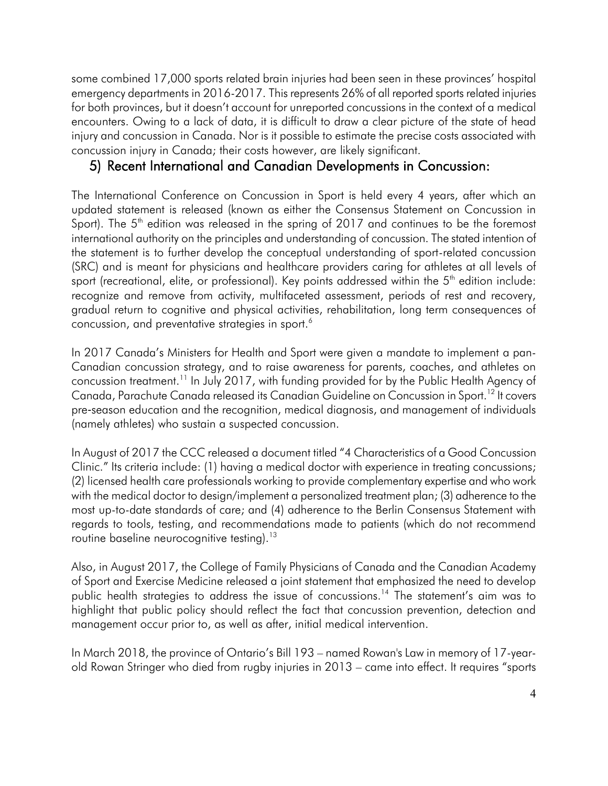emergency departments in 2016-2017. This represents 26% of all reported sports related injuries encounters. Owing to a lack of data, it is difficult to draw a clear picture of the state of head injury and concussion in Canada. Nor is it possible to estimate the precise costs associated with some combined 17,000 sports related brain injuries had been seen in these provinces' hospital for both provinces, but it doesn't account for unreported concussions in the context of a medical concussion injury in Canada; their costs however, are likely significant.

#### 5) Recent International and Canadian Developments in Concussion:

 The International Conference on Concussion in Sport is held every 4 years, after which an updated statement is released (known as either the Consensus Statement on Concussion in Sport). The  $5<sup>th</sup>$  edition was released in the spring of 2017 and continues to be the foremost international authority on the principles and understanding of concussion. The stated intention of the statement is to further develop the conceptual understanding of sport-related concussion recognize and remove from activity, multifaceted assessment, periods of rest and recovery, gradual return to cognitive and physical activities, rehabilitation, long term consequences of concussion, and preventative strategies in sport. $^6$ (SRC) and is meant for physicians and healthcare providers caring for athletes at all levels of sport (recreational, elite, or professional). Key points addressed within the  $5<sup>th</sup>$  edition include:

 In 2017 Canada's Ministers for Health and Sport were given a mandate to implement a pan- Canadian concussion strategy, and to raise awareness for parents, coaches, and athletes on concussion treatment. $^{11}$  In July 2017, with funding provided for by the Public Health Agency of Canada, Parachute Canada released its Canadian Guideline on Concussion in Sport.<sup>12</sup> It covers pre‐season education and the recognition, medical diagnosis, and management of individuals (namely athletes) who sustain a suspected concussion.

In August of 2017 the CCC released a document titled "4 Characteristics of a Good Concussion Clinic." Its criteria include: (1) having a medical doctor with experience in treating concussions; (2) licensed health care professionals working to provide complementary expertise and who work with the medical doctor to design/implement a personalized treatment plan; (3) adherence to the most up-to-date standards of care; and (4) adherence to the Berlin Consensus Statement with regards to tools, testing, and recommendations made to patients (which do not recommend routine baseline neurocognitive testing).<sup>13</sup>

 management occur prior to, as well as after, initial medical intervention. Also, in August 2017, the College of Family Physicians of Canada and the Canadian Academy of Sport and Exercise Medicine released a joint statement that emphasized the need to develop public health strategies to address the issue of concussions.<sup>14</sup> The statement's aim was to highlight that public policy should reflect the fact that concussion prevention, detection and

 old Rowan Stringer who died from rugby injuries in 2013 – came into effect. It requires "sports In March 2018, the province of Ontario's Bill 193 – named Rowan's Law in memory of 17-year-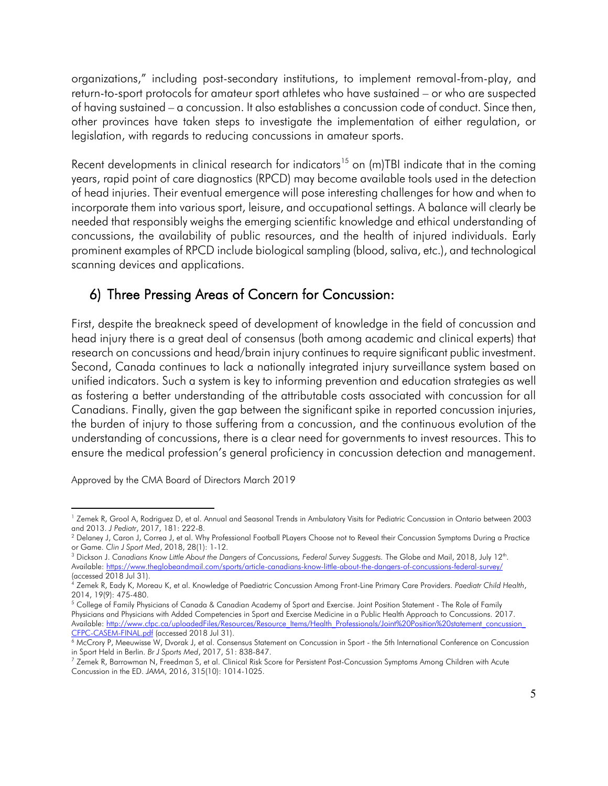return-to-sport protocols for amateur sport athletes who have sustained – or who are suspected of having sustained – a concussion. It also establishes a concussion code of conduct. Since then, other provinces have taken steps to investigate the implementation of either regulation, or organizations," including post-secondary institutions, to implement removal-from-play, and legislation, with regards to reducing concussions in amateur sports.

 years, rapid point of care diagnostics (RPCD) may become available tools used in the detection of head injuries. Their eventual emergence will pose interesting challenges for how and when to incorporate them into various sport, leisure, and occupational settings. A balance will clearly be needed that responsibly weighs the emerging scientific knowledge and ethical understanding of concussions, the availability of public resources, and the health of injured individuals. Early prominent examples of RPCD include biological sampling (blood, saliva, etc.), and technological Recent developments in clinical research for indicators<sup>15</sup> on (m)TBI indicate that in the coming scanning devices and applications.

### 6) Three Pressing Areas of Concern for Concussion:

 First, despite the breakneck speed of development of knowledge in the field of concussion and head injury there is a great deal of consensus (both among academic and clinical experts) that research on concussions and head/brain injury continues to require significant public investment. the burden of injury to those suffering from a concussion, and the continuous evolution of the Second, Canada continues to lack a nationally integrated injury surveillance system based on unified indicators. Such a system is key to informing prevention and education strategies as well as fostering a better understanding of the attributable costs associated with concussion for all Canadians. Finally, given the gap between the significant spike in reported concussion injuries, understanding of concussions, there is a clear need for governments to invest resources. This to ensure the medical profession's general proficiency in concussion detection and management.

Approved by the CMA Board of Directors March 2019

<span id="page-4-0"></span> $\overline{a}$ <sup>1</sup> Zemek R, Grool A, Rodriguez D, et al. Annual and Seasonal Trends in Ambulatory Visits for Pediatric Concussion in Ontario between 2003 and 2013. *J Pediatr, 2017, 181: 222-8.*<br><sup>2</sup> Delaney J, Caron J, Correa J, et al. Why Professional Football PLayers Choose not to Reveal their Concussion Symptoms During a Practice

<span id="page-4-4"></span>

<span id="page-4-1"></span>or Game. Clin J Sport Med, 2018, 28(1): 1-12.<br><sup>3</sup> Dickson J. Canadians Know Little About the Dangers of Concussions, Federal Survey Suggests. The Globe and Mail, 2018, July 12<sup>th</sup>. Available: https://www.theglobeandmail.com/sports/article-canadians-know-little-about-the-dangers-of-concussions-federal-survey/

<span id="page-4-5"></span><sup>(</sup>accessed 2018 Jul 31).<br><sup>4</sup> Zemek R, Eady K, Moreau K, et al. Knowledge of Paediatric Concussion Among Front-Line Primary Care Providers. Paediatr Child Health,<br>2014, 19(9): 475-480.

<span id="page-4-2"></span><sup>&</sup>lt;sup>5</sup> College of Family Physicians of Canada & Canadian Academy of Sport and Exercise. Joint Position Statement - The Role of Family Physicians and Physicians with Added Competencies in Sport and Exercise Medicine in a Public Health Approach to Concussions. 2017. Available: http://www.cfpc.ca/uploadedFiles/Resources/Resource\_Items/Health\_Professionals/Joint%20Position%20statement\_concussion\_<br>CFPC-CASEM-FINAL.pdf (accessed 2018 Jul 31).

<span id="page-4-3"></span><sup>&</sup>lt;sup>6</sup> McCrory P, Meeuwisse W, Dvorak J, et al. Consensus Statement on Concussion in Sport - the 5th International Conference on Concussion in Sport Held in Berlin. *Br J Sports Med,* 2017, 51: 838-847.<br><sup>7</sup> Zemek R, Barrowman N, Freedman S, et al. Clinical Risk Score for Persistent Post-Concussion Symptoms Among Children with Acute

Concussion in the ED. *JAMA*, 2016, 315(10): 1014-1025.